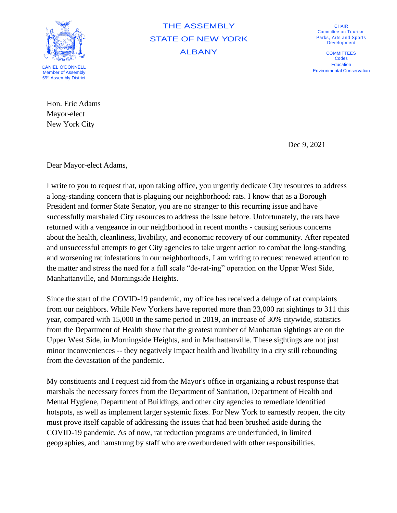

THE ASSEMBLY STATE OF NEW YORK ALBANY

CHAIR Committee on Tourism Parks, Arts and Sports **Development** 

**COMMITTEES** Codes **Education** Environmental Conservation

Hon. Eric Adams Mayor-elect

New York City

Dec 9, 2021

Dear Mayor-elect Adams,

I write to you to request that, upon taking office, you urgently dedicate City resources to address a long-standing concern that is plaguing our neighborhood: rats. I know that as a Borough President and former State Senator, you are no stranger to this recurring issue and have successfully marshaled City resources to address the issue before. Unfortunately, the rats have returned with a vengeance in our neighborhood in recent months - causing serious concerns about the health, cleanliness, livability, and economic recovery of our community. After repeated and unsuccessful attempts to get City agencies to take urgent action to combat the long-standing and worsening rat infestations in our neighborhoods, I am writing to request renewed attention to the matter and stress the need for a full scale "de-rat-ing" operation on the Upper West Side, Manhattanville, and Morningside Heights.

Since the start of the COVID-19 pandemic, my office has received a deluge of rat complaints from our neighbors. While New Yorkers have reported more than 23,000 rat sightings to 311 this year, compared with 15,000 in the same period in 2019, an increase of 30% citywide, statistics from the Department of Health show that the greatest number of Manhattan sightings are on the Upper West Side, in Morningside Heights, and in Manhattanville. These sightings are not just minor inconveniences -- they negatively impact health and livability in a city still rebounding from the devastation of the pandemic.

My constituents and I request aid from the Mayor's office in organizing a robust response that marshals the necessary forces from the Department of Sanitation, Department of Health and Mental Hygiene, Department of Buildings, and other city agencies to remediate identified hotspots, as well as implement larger systemic fixes. For New York to earnestly reopen, the city must prove itself capable of addressing the issues that had been brushed aside during the COVID-19 pandemic. As of now, rat reduction programs are underfunded, in limited geographies, and hamstrung by staff who are overburdened with other responsibilities.